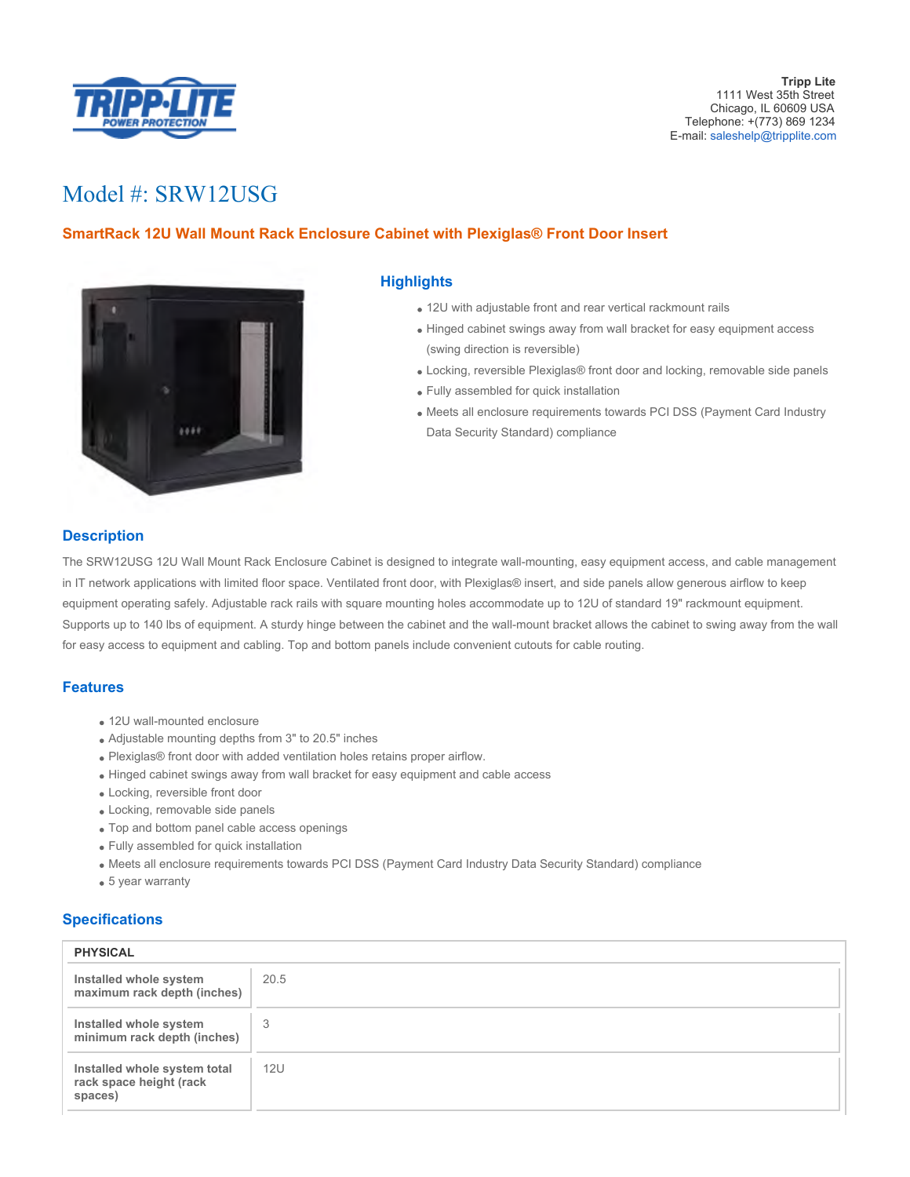

# Model #: SRW12USG

# **SmartRack 12U Wall Mount Rack Enclosure Cabinet with Plexiglas® Front Door Insert**



#### **Highlights**

- 12U with adjustable front and rear vertical rackmount rails
- Hinged cabinet swings away from wall bracket for easy equipment access (swing direction is reversible)
- Locking, reversible Plexiglas® front door and locking, removable side panels
- Fully assembled for quick installation
- Meets all enclosure requirements towards PCI DSS (Payment Card Industry Data Security Standard) compliance

## **Description**

The SRW12USG 12U Wall Mount Rack Enclosure Cabinet is designed to integrate wall-mounting, easy equipment access, and cable management in IT network applications with limited floor space. Ventilated front door, with Plexiglas® insert, and side panels allow generous airflow to keep equipment operating safely. Adjustable rack rails with square mounting holes accommodate up to 12U of standard 19" rackmount equipment. Supports up to 140 lbs of equipment. A sturdy hinge between the cabinet and the wall-mount bracket allows the cabinet to swing away from the wall for easy access to equipment and cabling. Top and bottom panels include convenient cutouts for cable routing.

#### **Features**

- 12U wall-mounted enclosure
- Adjustable mounting depths from 3" to 20.5" inches
- Plexiglas® front door with added ventilation holes retains proper airflow.
- Hinged cabinet swings away from wall bracket for easy equipment and cable access
- Locking, reversible front door
- Locking, removable side panels
- Top and bottom panel cable access openings
- Fully assembled for quick installation
- Meets all enclosure requirements towards PCI DSS (Payment Card Industry Data Security Standard) compliance
- 5 year warranty

## **Specifications**

| <b>PHYSICAL</b>                                                    |      |
|--------------------------------------------------------------------|------|
| Installed whole system<br>maximum rack depth (inches)              | 20.5 |
| Installed whole system<br>minimum rack depth (inches)              | 3    |
| Installed whole system total<br>rack space height (rack<br>spaces) | 12U  |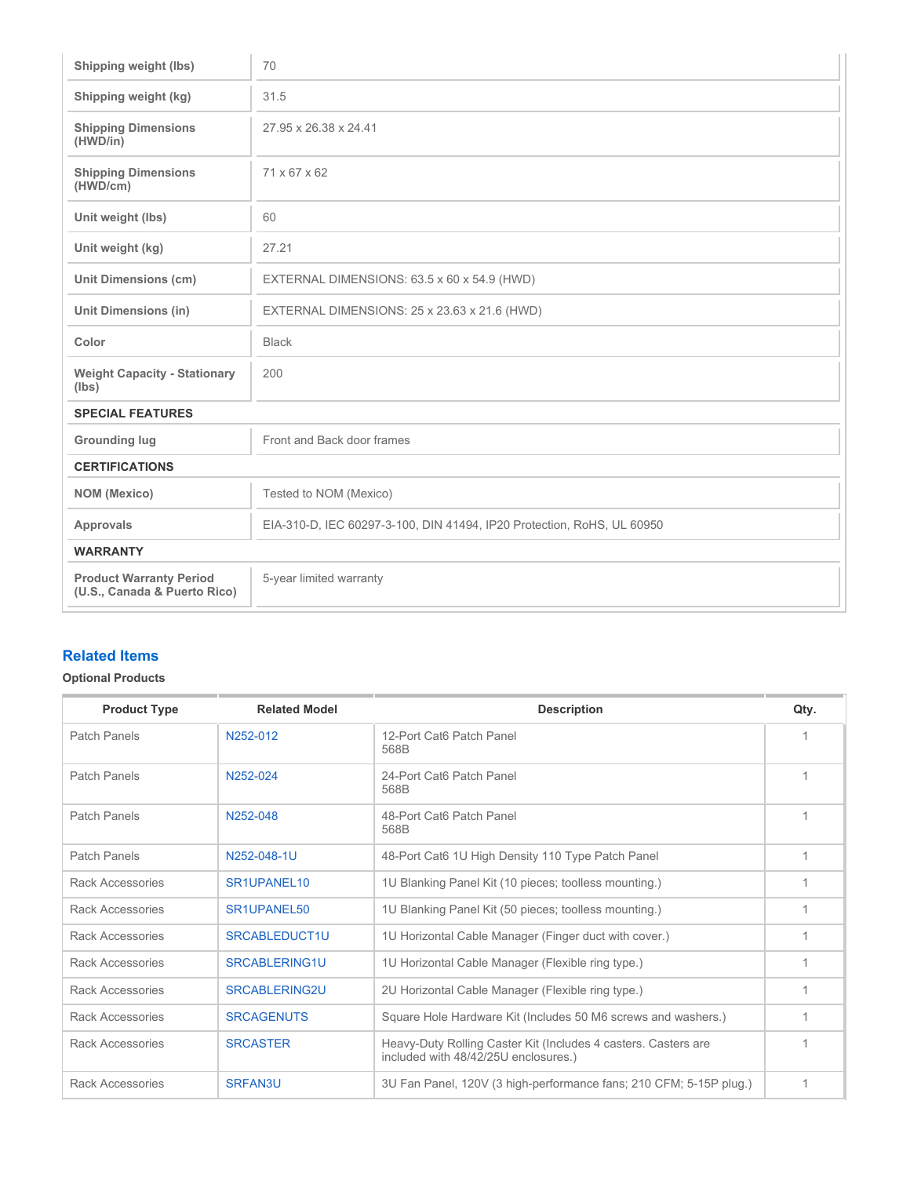| Shipping weight (lbs)                                          | 70                                                                     |  |  |  |
|----------------------------------------------------------------|------------------------------------------------------------------------|--|--|--|
| Shipping weight (kg)                                           | 31.5                                                                   |  |  |  |
| <b>Shipping Dimensions</b><br>(HWD/in)                         | 27.95 x 26.38 x 24.41                                                  |  |  |  |
| <b>Shipping Dimensions</b><br>(HWD/cm)                         | 71 x 67 x 62                                                           |  |  |  |
| Unit weight (lbs)                                              | 60                                                                     |  |  |  |
| Unit weight (kg)                                               | 27.21                                                                  |  |  |  |
| <b>Unit Dimensions (cm)</b>                                    | EXTERNAL DIMENSIONS: 63.5 x 60 x 54.9 (HWD)                            |  |  |  |
| <b>Unit Dimensions (in)</b>                                    | EXTERNAL DIMENSIONS: 25 x 23.63 x 21.6 (HWD)                           |  |  |  |
| Color                                                          | <b>Black</b>                                                           |  |  |  |
| <b>Weight Capacity - Stationary</b><br>(lbs)                   | 200                                                                    |  |  |  |
| <b>SPECIAL FEATURES</b>                                        |                                                                        |  |  |  |
| <b>Grounding lug</b>                                           | Front and Back door frames                                             |  |  |  |
| <b>CERTIFICATIONS</b>                                          |                                                                        |  |  |  |
| <b>NOM</b> (Mexico)                                            | Tested to NOM (Mexico)                                                 |  |  |  |
| <b>Approvals</b>                                               | EIA-310-D, IEC 60297-3-100, DIN 41494, IP20 Protection, RoHS, UL 60950 |  |  |  |
| <b>WARRANTY</b>                                                |                                                                        |  |  |  |
| <b>Product Warranty Period</b><br>(U.S., Canada & Puerto Rico) | 5-year limited warranty                                                |  |  |  |

## **Related Items**

## **Optional Products**

| <b>Product Type</b>     | <b>Related Model</b> | <b>Description</b>                                                                                     | Qty. |
|-------------------------|----------------------|--------------------------------------------------------------------------------------------------------|------|
| Patch Panels            | N252-012             | 12-Port Cat6 Patch Panel<br>568B                                                                       |      |
| <b>Patch Panels</b>     | N252-024             | 24-Port Cat6 Patch Panel<br>568B                                                                       |      |
| Patch Panels            | N252-048             | 48-Port Cat6 Patch Panel<br>568B                                                                       |      |
| Patch Panels            | N252-048-1U          | 48-Port Cat6 1U High Density 110 Type Patch Panel                                                      |      |
| Rack Accessories        | SR1UPANEL 10         | 1U Blanking Panel Kit (10 pieces; toolless mounting.)                                                  |      |
| Rack Accessories        | SR1UPANEL50          | 1U Blanking Panel Kit (50 pieces; toolless mounting.)                                                  |      |
| Rack Accessories        | SRCABLEDUCT1U        | 1U Horizontal Cable Manager (Finger duct with cover.)                                                  |      |
| Rack Accessories        | <b>SRCABLERING1U</b> | 1U Horizontal Cable Manager (Flexible ring type.)                                                      |      |
| Rack Accessories        | <b>SRCABLERING2U</b> | 2U Horizontal Cable Manager (Flexible ring type.)                                                      |      |
| <b>Rack Accessories</b> | <b>SRCAGENUTS</b>    | Square Hole Hardware Kit (Includes 50 M6 screws and washers.)                                          |      |
| Rack Accessories        | <b>SRCASTER</b>      | Heavy-Duty Rolling Caster Kit (Includes 4 casters. Casters are<br>included with 48/42/25U enclosures.) |      |
| <b>Rack Accessories</b> | SRFAN3U              | 3U Fan Panel, 120V (3 high-performance fans; 210 CFM; 5-15P plug.)                                     |      |